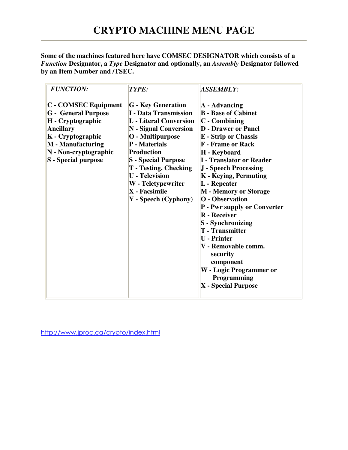**Some of the machines featured here have COMSEC DESIGNATOR which consists of a**  *Function* **Designator, a** *Type* **Designator and optionally, an** *Assembly* **Designator followed by an Item Number and /TSEC.**

| <b>FUNCTION:</b><br>TYPE:                                                                                                                                                                    | <b>ASSEMBLY:</b>                                                                                                                                                                                                                                                                                                                                                                                                                                                                                                                                                                                                                                                                                                                                                                                                                                                                                                                                    |  |
|----------------------------------------------------------------------------------------------------------------------------------------------------------------------------------------------|-----------------------------------------------------------------------------------------------------------------------------------------------------------------------------------------------------------------------------------------------------------------------------------------------------------------------------------------------------------------------------------------------------------------------------------------------------------------------------------------------------------------------------------------------------------------------------------------------------------------------------------------------------------------------------------------------------------------------------------------------------------------------------------------------------------------------------------------------------------------------------------------------------------------------------------------------------|--|
| C - COMSEC Equipment<br><b>G</b> - General Purpose<br>H - Cryptographic<br><b>Ancillary</b><br>K - Cryptographic<br><b>M</b> - Manufacturing<br>N - Non-cryptographic<br>S - Special purpose | <b>G</b> - Key Generation<br>$\mathbf{A}$ - Advancing<br><b>B</b> - Base of Cabinet<br><b>I</b> - Data Transmission<br><b>L</b> - Literal Conversion<br>$ C - Combining $<br>$ N -$ Signal Conversion<br><b>D</b> - Drawer or Panel<br>O - Multipurpose<br><b>E</b> - Strip or Chassis<br>P - Materials<br><b>F</b> - Frame or Rack<br><b>Production</b><br>H - Keyboard<br>I - Translator or Reader<br><b>S</b> - Special Purpose<br>$T$ - Testing, Checking<br>J - Speech Processing<br><b>U</b> - Television<br>K - Keying, Permuting<br>W - Teletypewriter<br>$L$ - Repeater<br>$\mathbf{X}$ - Facsimile<br>M - Memory or Storage<br><b>O</b> - Observation<br>Y - Speech (Cyphony)<br><b>P</b> - Pwr supply or Converter<br><b>R</b> - Receiver<br>S - Synchronizing<br><b>T</b> - Transmitter<br><b>U</b> - Printer<br>V - Removable comm.<br>security<br>component<br><b>W</b> - Logic Programmer or<br>Programming<br>$X$ - Special Purpose |  |

http://www.jproc.ca/crypto/index.html